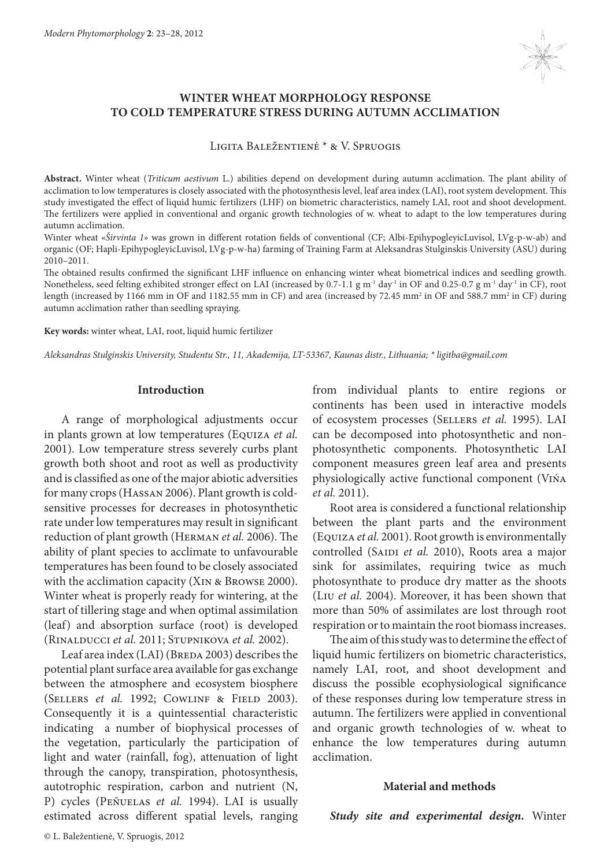

# **WINTER WHEAT MORPHOLOGY RESPONSE TO COLD TEMPERATURE STRESS DURING AUTUMN ACCLIMATION**

Ligita Baležentienė \* & V. Spruogis

**Abstract.** Winter wheat (*Triticum aestivum* L.) abilities depend on development during autumn acclimation. The plant ability of acclimation to low temperatures is closely associated with the photosynthesis level, leaf area index (LAI), root system development. This study investigated the effect of liquid humic fertilizers (LHF) on biometric characteristics, namely LAI, root and shoot development. The fertilizers were applied in conventional and organic growth technologies of w. wheat to adapt to the low temperatures during autumn acclimation.

Winter wheat «*Širvinta 1*» was grown in different rotation fields of conventional (CF; Albi-EpihypogleyicLuvisol, LVg-p-w-ab) and organic (OF; Hapli-EpihypogleyicLuvisol, LVg-p-w-ha) farming of Training Farm at Aleksandras Stulginskis University (ASU) during 2010–2011.

The obtained results confirmed the significant LHF influence on enhancing winter wheat biometrical indices and seedling growth. Nonetheless, seed felting exhibited stronger effect on LAI (increased by 0.7-1.1 g m<sup>-1</sup> day<sup>-1</sup> in OF and 0.25-0.7 g m<sup>-1</sup> day<sup>-1</sup> in CF), root length (increased by 1166 mm in OF and 1182.55 mm in CF) and area (increased by 72.45 mm<sup>2</sup> in OF and 588.7 mm<sup>2</sup> in CF) during autumn acclimation rather than seedling spraying.

**Key words:** winter wheat, LAI, root, liquid humic fertilizer

*Aleksandras Stulginskis University, Studentu Str., 11, Akademija, LT-53367, Kaunas distr., Lithuania; \* ligitba@gmail.com*

## **Introduction**

A range of morphological adjustments occur in plants grown at low temperatures (Equiza *et al.* 2001). Low temperature stress severely curbs plant growth both shoot and root as well as productivity and is classified as one of the major abiotic adversities for many crops (Hassan 2006). Plant growth is coldsensitive processes for decreases in photosynthetic rate under low temperatures may result in significant reduction of plant growth (Herman *et al.* 2006). The ability of plant species to acclimate to unfavourable temperatures has been found to be closely associated with the acclimation capacity (Xin & Browse 2000). Winter wheat is properly ready for wintering, at the start of tillering stage and when optimal assimilation (leaf) and absorption surface (root) is developed (Rinalducci *et al.* 2011; Stupnikova *et al.* 2002).

Leaf area index (LAI) (BREDA 2003) describes the potential plant surface area available for gas exchange between the atmosphere and ecosystem biosphere (SELLERS *et al.* 1992; COWLINF & FIELD 2003). Consequently it is a quintessential characteristic indicating a number of biophysical processes of the vegetation, particularly the participation of light and water (rainfall, fog), attenuation of light through the canopy, transpiration, photosynthesis, autotrophic respiration, carbon and nutrient (N, P) cycles (Peñuelas *et al.* 1994). LAI is usually estimated across different spatial levels, ranging from individual plants to entire regions or continents has been used in interactive models of ecosystem processes (Sellers *et al.* 1995). LAI can be decomposed into photosynthetic and nonphotosynthetic components. Photosynthetic LAI component measures green leaf area and presents physiologically active functional component (Vińa *et al.* 2011).

Root area is considered a functional relationship between the plant parts and the environment (Equiza *et al.* 2001). Root growth is environmentally controlled (SAIDI et al. 2010), Roots area a major sink for assimilates, requiring twice as much photosynthate to produce dry matter as the shoots (Liu *et al.* 2004). Moreover, it has been shown that more than 50% of assimilates are lost through root respiration or to maintain the root biomass increases.

The aim of this study was to determine the effect of liquid humic fertilizers on biometric characteristics, namely LAI, root, and shoot development and discuss the possible ecophysiological significance of these responses during low temperature stress in autumn. The fertilizers were applied in conventional and organic growth technologies of w. wheat to enhance the low temperatures during autumn acclimation.

## **Material and methods**

*Study site and experimental design.* Winter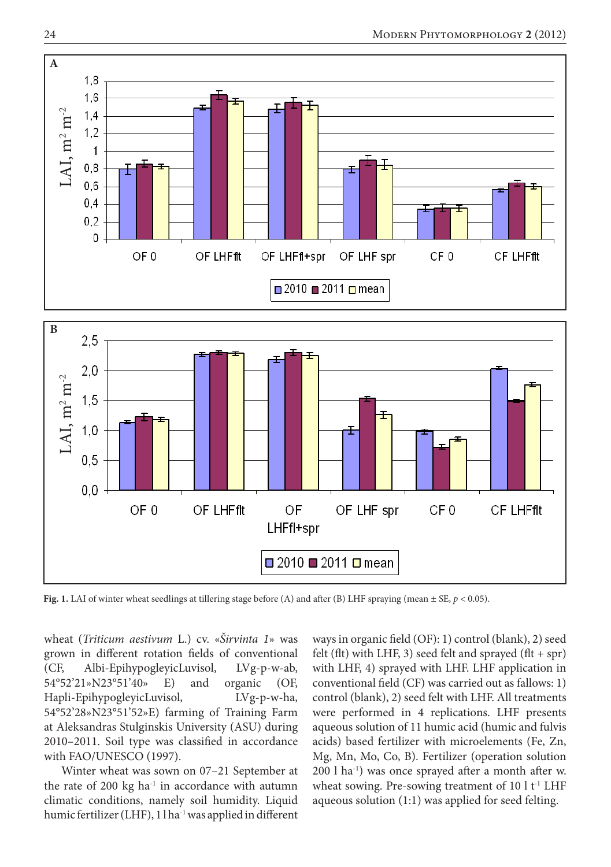

**Fig. 1.** LAI of winter wheat seedlings at tillering stage before (A) and after (B) LHF spraying (mean ± SE, *p* < 0.05).

wheat (*Triticum aestivum* L.) cv. «*Širvinta 1*» was grown in different rotation fields of conventional (CF, Albi-EpihypogleyicLuvisol, LVg-p-w-ab, 54°52'21»N23°51'40» E) and organic (OF, Hapli-EpihypogleyicLuvisol, LVg-p-w-ha, 54°52'28»N23°51'52»E) farming of Training Farm at Aleksandras Stulginskis University (ASU) during 2010–2011. Soil type was classified in accordance with FAO/UNESCO (1997).

Winter wheat was sown on 07–21 September at the rate of 200 kg ha $^{-1}$  in accordance with autumn climatic conditions, namely soil humidity. Liquid humic fertilizer (LHF), 1 l ha<sup>-1</sup> was applied in different ways in organic field (OF): 1) control (blank), 2) seed felt (flt) with LHF, 3) seed felt and sprayed (flt + spr) with LHF, 4) sprayed with LHF. LHF application in conventional field (CF) was carried out as fallows: 1) control (blank), 2) seed felt with LHF. All treatments were performed in 4 replications. LHF presents aqueous solution of 11 humic acid (humic and fulvis acids) based fertilizer with microelements (Fe, Zn, Mg, Mn, Mo, Co, B). Fertilizer (operation solution 200 l ha-1) was once sprayed after a month after w. wheat sowing. Pre-sowing treatment of  $10 \,$ l t<sup>-1</sup> LHF aqueous solution (1:1) was applied for seed felting.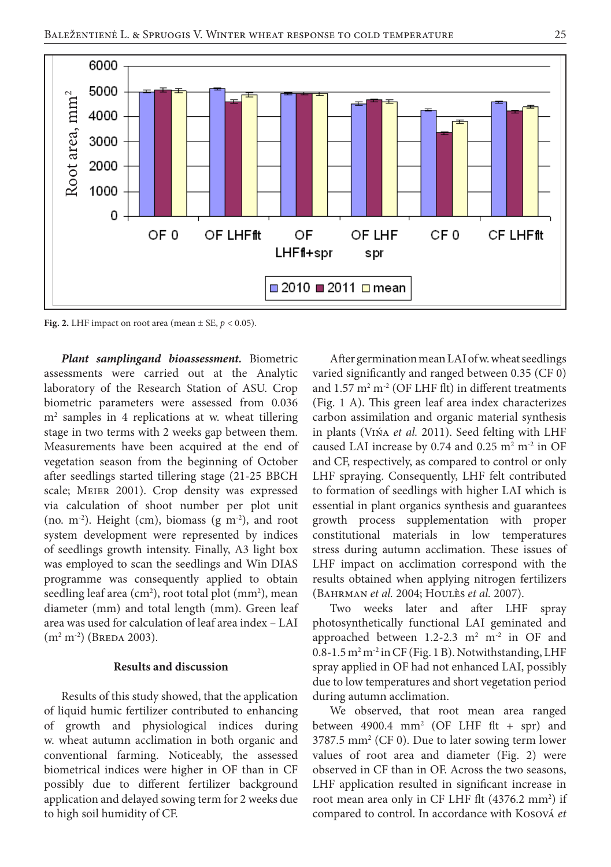

**Fig. 2.** LHF impact on root area (mean  $\pm$  SE,  $p$  < 0.05).

*Plant samplingand bioassessment.* Biometric assessments were carried out at the Analytic laboratory of the Research Station of ASU. Crop biometric parameters were assessed from 0.036 m2 samples in 4 replications at w. wheat tillering stage in two terms with 2 weeks gap between them. Measurements have been acquired at the end of vegetation season from the beginning of October after seedlings started tillering stage (21-25 BBCH scale; Meier 2001). Crop density was expressed via calculation of shoot number per plot unit (no.  $m^{-2}$ ). Height (cm), biomass (g  $m^{-2}$ ), and root system development were represented by indices of seedlings growth intensity. Finally, A3 light box was employed to scan the seedlings and Win DIAS programme was consequently applied to obtain seedling leaf area  $(cm<sup>2</sup>)$ , root total plot  $(mm<sup>2</sup>)$ , mean diameter (mm) and total length (mm). Green leaf area was used for calculation of leaf area index – LAI  $(m<sup>2</sup> m<sup>-2</sup>)$  (Breda 2003).

#### **Results and discussion**

Results of this study showed, that the application of liquid humic fertilizer contributed to enhancing of growth and physiological indices during w. wheat autumn acclimation in both organic and conventional farming. Noticeably, the assessed biometrical indices were higher in OF than in CF possibly due to different fertilizer background application and delayed sowing term for 2 weeks due to high soil humidity of CF.

After germination mean LAI of w. wheat seedlings varied significantly and ranged between 0.35 (CF 0) and  $1.57 \text{ m}^2 \text{ m}^2$  (OF LHF flt) in different treatments (Fig. 1 A). This green leaf area index characterizes carbon assimilation and organic material synthesis in plants (Vińa *et al.* 2011). Seed felting with LHF caused LAI increase by 0.74 and 0.25  $\mathrm{m}^2 \mathrm{m}^2$  in OF and CF, respectively, as compared to control or only LHF spraying. Consequently, LHF felt contributed to formation of seedlings with higher LAI which is essential in plant organics synthesis and guarantees growth process supplementation with proper constitutional materials in low temperatures stress during autumn acclimation. These issues of LHF impact on acclimation correspond with the results obtained when applying nitrogen fertilizers (Bahrman *et al.* 2004; Houlès *et al.* 2007).

Two weeks later and after LHF spray photosynthetically functional LAI geminated and approached between  $1.2$ -2.3 m<sup>2</sup> m<sup>-2</sup> in OF and  $0.8$ -1.5 m<sup>2</sup> m<sup>-2</sup> in CF (Fig. 1 B). Notwithstanding, LHF spray applied in OF had not enhanced LAI, possibly due to low temperatures and short vegetation period during autumn acclimation.

We observed, that root mean area ranged between  $4900.4$  mm<sup>2</sup> (OF LHF flt + spr) and 3787.5 mm2 (CF 0). Due to later sowing term lower values of root area and diameter (Fig. 2) were observed in CF than in OF. Across the two seasons, LHF application resulted in significant increase in root mean area only in CF LHF flt (4376.2 mm<sup>2</sup>) if compared to control. In accordance with Kosová *et*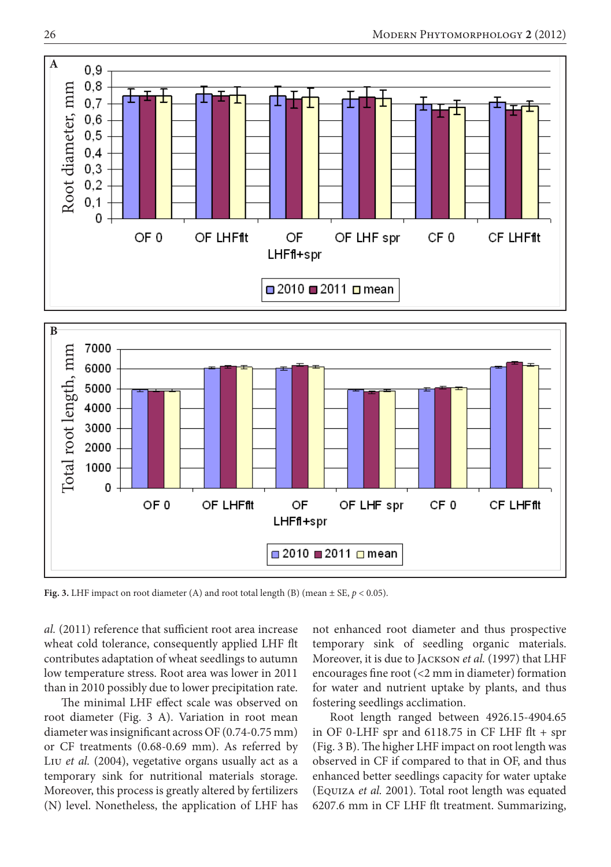

□ 2010 ■ 2011 □ mean

**Fig. 3.** LHF impact on root diameter (A) and root total length (B) (mean  $\pm$  SE,  $p$  < 0.05).

*al.* (2011) reference that sufficient root area increase wheat cold tolerance, consequently applied LHF flt contributes adaptation of wheat seedlings to autumn low temperature stress. Root area was lower in 2011 than in 2010 possibly due to lower precipitation rate.

The minimal LHF effect scale was observed on root diameter (Fig. 3 A). Variation in root mean diameter was insignificant across OF (0.74-0.75 mm) or CF treatments (0.68-0.69 mm). As referred by Liu *et al.* (2004), vegetative organs usually act as a temporary sink for nutritional materials storage. Moreover, this process is greatly altered by fertilizers (N) level. Nonetheless, the application of LHF has

not enhanced root diameter and thus prospective temporary sink of seedling organic materials. Moreover, it is due to Jackson *et al.* (1997) that LHF encourages fine root (<2 mm in diameter) formation for water and nutrient uptake by plants, and thus fostering seedlings acclimation.

Root length ranged between 4926.15-4904.65 in OF 0-LHF spr and  $6118.75$  in CF LHF flt + spr (Fig. 3 B). The higher LHF impact on root length was observed in CF if compared to that in OF, and thus enhanced better seedlings capacity for water uptake (Equiza *et al.* 2001). Total root length was equated 6207.6 mm in CF LHF flt treatment. Summarizing,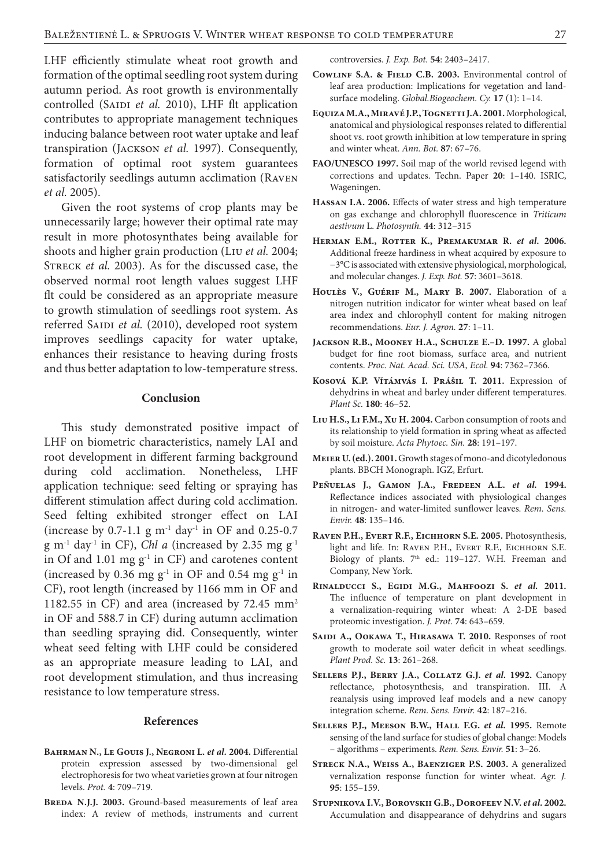LHF efficiently stimulate wheat root growth and formation of the optimal seedling root system during autumn period. As root growth is environmentally controlled (SAIDI et al. 2010), LHF flt application contributes to appropriate management techniques inducing balance between root water uptake and leaf transpiration (Jackson *et al.* 1997). Consequently, formation of optimal root system guarantees satisfactorily seedlings autumn acclimation (Raven *et al.* 2005).

Given the root systems of crop plants may be unnecessarily large; however their optimal rate may result in more photosynthates being available for shoots and higher grain production (Liu *et al.* 2004; Streck *et al.* 2003). As for the discussed case, the observed normal root length values suggest LHF flt could be considered as an appropriate measure to growth stimulation of seedlings root system. As referred SAIDI et al. (2010), developed root system improves seedlings capacity for water uptake, enhances their resistance to heaving during frosts and thus better adaptation to low-temperature stress.

#### **Conclusion**

This study demonstrated positive impact of LHF on biometric characteristics, namely LAI and root development in different farming background during cold acclimation. Nonetheless, LHF application technique: seed felting or spraying has different stimulation affect during cold acclimation. Seed felting exhibited stronger effect on LAI (increase by 0.7-1.1 g  $m^{-1}$  day<sup>-1</sup> in OF and 0.25-0.7  $g m^{-1}$  day<sup>-1</sup> in CF), *Chl a* (increased by 2.35 mg  $g^{-1}$ in Of and  $1.01$  mg  $g^{-1}$  in CF) and carotenes content (increased by 0.36 mg  $g^{-1}$  in OF and 0.54 mg  $g^{-1}$  in CF), root length (increased by 1166 mm in OF and 1182.55 in CF) and area (increased by 72.45 mm2 in OF and 588.7 in CF) during autumn acclimation than seedling spraying did. Consequently, winter wheat seed felting with LHF could be considered as an appropriate measure leading to LAI, and root development stimulation, and thus increasing resistance to low temperature stress.

## **References**

- BAHRMAN N., LE GOUIS J., NEGRONI L. et al. 2004. Differential protein expression assessed by two-dimensional gel electrophoresis for two wheat varieties grown at four nitrogen levels. *Prot.* **4**: 709–719.
- BREDA N.J.J. 2003. Ground-based measurements of leaf area index: A review of methods, instruments and current

controversies. *J. Exp. Bot.* **54**: 2403–2417.

- **Cowlinf S.A. & Field C.B. 2003.** Environmental control of leaf area production: Implications for vegetation and landsurface modeling. *Global.Biogeochem. Cy.* **17** (1): 1–14.
- **Equiza M.A., Miravé J.P., Tognetti J.A. 2001.** Morphological, anatomical and physiological responses related to differential shoot vs. root growth inhibition at low temperature in spring and winter wheat. *Ann. Bot.* **87**: 67–76.
- **FAO/UNESCO 1997.** Soil map of the world revised legend with corrections and updates. Techn. Paper **20**: 1–140. ISRIC, Wageningen.
- **Hassan I.A. 2006.** Effects of water stress and high temperature on gas exchange and chlorophyll fluorescence in *Triticum aestivum* L. *Photosynth.* **44**: 312–315
- **Herman E.M., Rotter K., Premakumar R.** *et al.* **2006.** Additional freeze hardiness in wheat acquired by exposure to −3°C is associated with extensive physiological, morphological, and molecular changes. *J. Exp. Bot.* **57**: 3601–3618.
- **Houlès V., Guérif M., Mary B. 2007.** Elaboration of a nitrogen nutrition indicator for winter wheat based on leaf area index and chlorophyll content for making nitrogen recommendations. *Eur. J. Agron.* **27**: 1–11.
- **Jackson R.B., Mooney H.A., Schulze E.–D. 1997.** A global budget for fine root biomass, surface area, and nutrient contents. *Proc. Nat. Acad. Sci. USA, Ecol.* **94**: 7362–7366.
- **Kosová K.P. Vítámvás I. Prášil T. 2011.** Expression of dehydrins in wheat and barley under different temperatures. *Plant Sc.* **180**: 46–52.
- **Liu H.S., Li F.M., Xu H. 2004.** Carbon consumption of roots and its relationship to yield formation in spring wheat as affected by soil moisture. *Acta Phytoec. Sin.* **28**: 191–197.
- **Meier U. (ed.). 2001.**Growth stages of mono-and dicotyledonous plants. BBCH Monograph. IGZ, Erfurt.
- **Peñuelas J., Gamon J.A., Fredeen A.L.** *et al.* **1994.**  Reflectance indices associated with physiological changes in nitrogen- and water-limited sunflower leaves. *Rem. Sens. Envir.* **48**: 135–146.
- **Raven P.H., Evert R.F., Eichhorn S.E. 2005.** Photosynthesis, light and life. In: Raven P.H., Evert R.F., Eichhorn S.E. Biology of plants. 7<sup>th</sup> ed.: 119-127. W.H. Freeman and Company, New York.
- **Rinalducci S., Egidi M.G., Mahfoozi S.** *et al.* **2011.**  The influence of temperature on plant development in a vernalization-requiring winter wheat: A 2-DE based proteomic investigation. *J. Prot.* **74**: 643–659.
- SAIDI A., OOKAWA T., HIRASAWA T. 2010. Responses of root growth to moderate soil water deficit in wheat seedlings. *Plant Prod. Sc.* **13**: 261–268.
- **Sellers P.J., Berry J.A., Collatz G.J.** *et al.* **1992.** Canopy reflectance, photosynthesis, and transpiration. III. A reanalysis using improved leaf models and a new canopy integration scheme. *Rem. Sens. Envir.* **42**: 187–216.
- **Sellers P.J., Meeson B.W., Hall F.G.** *et al.* **1995.** Remote sensing of the land surface for studies of global change: Models – algorithms – experiments. *Rem. Sens. Envir.* **51**: 3–26.
- **Streck N.A., Weiss A., Baenziger P.S. 2003.** A generalized vernalization response function for winter wheat. *Agr. J.*  **95**: 155–159.
- **Stupnikova I.V., Borovskii G.B., Dorofeev N.V.** *et al.* **2002.** Accumulation and disappearance of dehydrins and sugars